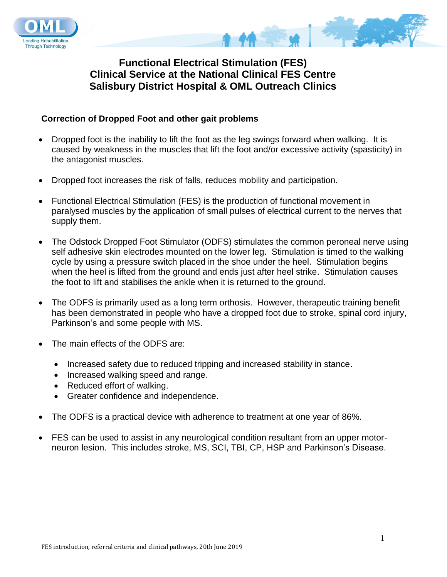



**Functional Electrical Stimulation (FES) Clinical Service at the National Clinical FES Centre Salisbury District Hospital & OML Outreach Clinics**

# **Correction of Dropped Foot and other gait problems**

- Dropped foot is the inability to lift the foot as the leg swings forward when walking. It is caused by weakness in the muscles that lift the foot and/or excessive activity (spasticity) in the antagonist muscles.
- Dropped foot increases the risk of falls, reduces mobility and participation.
- Functional Electrical Stimulation (FES) is the production of functional movement in paralysed muscles by the application of small pulses of electrical current to the nerves that supply them.
- The Odstock Dropped Foot Stimulator (ODFS) stimulates the common peroneal nerve using self adhesive skin electrodes mounted on the lower leg. Stimulation is timed to the walking cycle by using a pressure switch placed in the shoe under the heel. Stimulation begins when the heel is lifted from the ground and ends just after heel strike. Stimulation causes the foot to lift and stabilises the ankle when it is returned to the ground.
- The ODFS is primarily used as a long term orthosis. However, therapeutic training benefit has been demonstrated in people who have a dropped foot due to stroke, spinal cord injury, Parkinson's and some people with MS.
- The main effects of the ODFS are:
	- Increased safety due to reduced tripping and increased stability in stance.
	- Increased walking speed and range.
	- Reduced effort of walking.
	- Greater confidence and independence.
- The ODFS is a practical device with adherence to treatment at one year of 86%.
- FES can be used to assist in any neurological condition resultant from an upper motorneuron lesion. This includes stroke, MS, SCI, TBI, CP, HSP and Parkinson's Disease.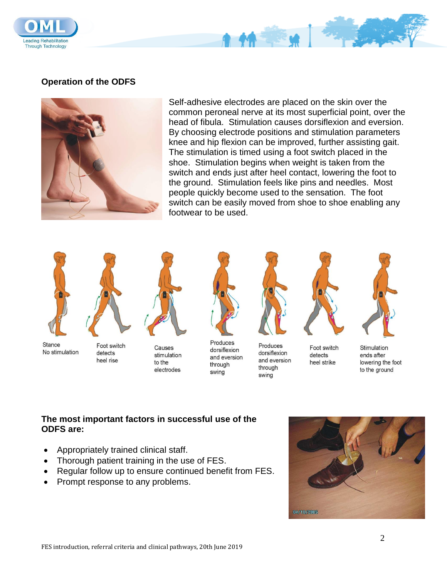

### **Operation of the ODFS**



Self-adhesive electrodes are placed on the skin over the common peroneal nerve at its most superficial point, over the head of fibula. Stimulation causes dorsiflexion and eversion. By choosing electrode positions and stimulation parameters knee and hip flexion can be improved, further assisting gait. The stimulation is timed using a foot switch placed in the shoe. Stimulation begins when weight is taken from the switch and ends just after heel contact, lowering the foot to the ground. Stimulation feels like pins and needles. Most people quickly become used to the sensation. The foot switch can be easily moved from shoe to shoe enabling any footwear to be used.





Stance No stimulation

Foot switch detects heel rise

Causes stimulation to the electrodes



Produces dorsiflexion and eversion through swing



Produces

through

swing

dorsiflexion

and eversion

Foot switch

heel strike

detects



Stimulation ends after lowering the foot to the ground

## **The most important factors in successful use of the ODFS are:**

- Appropriately trained clinical staff.
- Thorough patient training in the use of FES.
- Regular follow up to ensure continued benefit from FES.
- Prompt response to any problems.

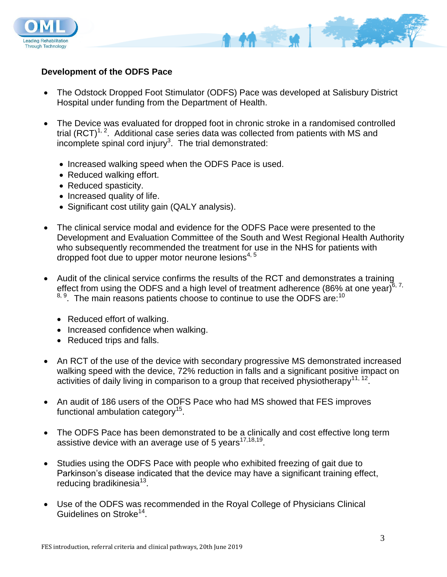

### **Development of the ODFS Pace**

- The Odstock Dropped Foot Stimulator (ODFS) Pace was developed at Salisbury District Hospital under funding from the Department of Health.
- The Device was evaluated for dropped foot in chronic stroke in a randomised controlled trial  $(RCT)^{1, 2}$ . Additional case series data was collected from patients with MS and incomplete spinal cord injury<sup>3</sup>. The trial demonstrated:
	- Increased walking speed when the ODFS Pace is used.
	- Reduced walking effort.
	- Reduced spasticity.
	- Increased quality of life.
	- Significant cost utility gain (QALY analysis).
- The clinical service modal and evidence for the ODFS Pace were presented to the Development and Evaluation Committee of the South and West Regional Health Authority who subsequently recommended the treatment for use in the NHS for patients with dropped foot due to upper motor neurone lesions<sup> $4,5$ </sup>
- Audit of the clinical service confirms the results of the RCT and demonstrates a training effect from using the ODFS and a high level of treatment adherence (86% at one year) $6.7$ ,  $8, 9$ . The main reasons patients choose to continue to use the ODFS are:<sup>10</sup>
	- Reduced effort of walking.
	- Increased confidence when walking.
	- Reduced trips and falls.
- An RCT of the use of the device with secondary progressive MS demonstrated increased walking speed with the device, 72% reduction in falls and a significant positive impact on activities of daily living in comparison to a group that received physiotherapy<sup>11, 12</sup>.
- An audit of 186 users of the ODFS Pace who had MS showed that FES improves functional ambulation category $^{15}$ .
- The ODFS Pace has been demonstrated to be a clinically and cost effective long term assistive device with an average use of 5 years $^{17,18,19}$ .
- Studies using the ODFS Pace with people who exhibited freezing of gait due to Parkinson's disease indicated that the device may have a significant training effect, reducing bradikinesia<sup>13</sup>.
- Use of the ODFS was recommended in the Royal College of Physicians Clinical Guidelines on Stroke<sup>14</sup>.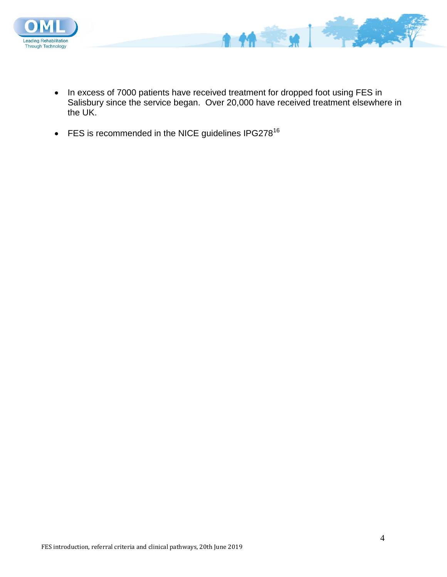

• In excess of 7000 patients have received treatment for dropped foot using FES in Salisbury since the service began. Over 20,000 have received treatment elsewhere in the UK.

A

 $M = M$ 

 $\bullet$  FES is recommended in the NICE guidelines IPG278<sup>16</sup>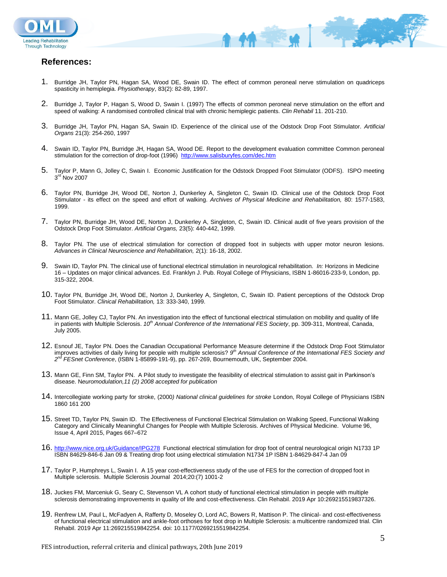



1. Burridge JH, Taylor PN, Hagan SA, Wood DE, Swain ID. The effect of common peroneal nerve stimulation on quadriceps spasticity in hemiplegia. *Physiotherapy*, 83(2): 82-89, 1997.

**MERCHANT AND STREET** 

- 2. Burridge J, Taylor P, Hagan S, Wood D, Swain I. (1997) The effects of common peroneal nerve stimulation on the effort and speed of walking: A randomised controlled clinical trial with chronic hemiplegic patients. *Clin Rehabil* 11. 201-210.
- 3. Burridge JH, Taylor PN, Hagan SA, Swain ID. Experience of the clinical use of the Odstock Drop Foot Stimulator. *Artificial Organs* 21(3): 254-260, 1997
- 4. Swain ID, Taylor PN, Burridge JH, Hagan SA, Wood DE. Report to the development evaluation committee Common peroneal stimulation for the correction of drop-foot (1996) <http://www.salisburyfes.com/dec.htm>
- 5. Taylor P, Mann G, Jolley C, Swain I. Economic Justification for the Odstock Dropped Foot Stimulator (ODFS). ISPO meeting 3<sup>rd</sup> Nov 2007
- 6. Taylor PN, Burridge JH, Wood DE, Norton J, Dunkerley A, Singleton C, Swain ID. Clinical use of the Odstock Drop Foot Stimulator - its effect on the speed and effort of walking. *Archives of Physical Medicine and Rehabilitation,* 80: 1577-1583, 1999.
- 7. Taylor PN, Burridge JH, Wood DE, Norton J, Dunkerley A, Singleton, C, Swain ID. Clinical audit of five years provision of the Odstock Drop Foot Stimulator. *Artificial Organs,* 23(5): 440-442, 1999.
- 8. Taylor PN. The use of electrical stimulation for correction of dropped foot in subjects with upper motor neuron lesions. *Advances in Clinical Neuroscience and Rehabilitation,* 2(1): 16-18, 2002.
- 9. Swain ID, Taylor PN. The clinical use of functional electrical stimulation in neurological rehabilitation. *In:* Horizons in Medicine 16 – Updates on major clinical advances. Ed. Franklyn J. Pub. Royal College of Physicians, ISBN 1-86016-233-9, London, pp. 315-322, 2004.
- 10. Taylor PN, Burridge JH, Wood DE, Norton J, Dunkerley A, Singleton, C, Swain ID. Patient perceptions of the Odstock Drop Foot Stimulator. *Clinical Rehabilitation,* 13: 333-340, 1999.
- 11. Mann GE, Jolley CJ, Taylor PN. An investigation into the effect of functional electrical stimulation on mobility and quality of life in patients with Multiple Sclerosis. *10th Annual Conference of the International FES Society*, pp. 309-311, Montreal, Canada, July 2005.
- 12. Esnouf JE, Taylor PN. Does the Canadian Occupational Performance Measure determine if the Odstock Drop Foot Stimulator improves activities of daily living for people with multiple sclerosis? *9 th Annual Conference of the International FES Society and 2 nd FESnet Conference*, (ISBN 1-85899-191-9), pp. 267-269, Bournemouth, UK, September 2004.
- 13. Mann GE, Finn SM, Taylor PN. A Pilot study to investigate the feasibility of electrical stimulation to assist gait in Parkinson's disease. N*euromodulation,11 (2) 2008 accepted for publication*
- 14. Intercollegiate working party for stroke, (2000*) National clinical guidelines for stroke* London, Royal College of Physicians ISBN 1860 161 200
- 15. Street TD, Taylor PN, Swain ID. The Effectiveness of Functional Electrical Stimulation on Walking Speed, Functional Walking Category and Clinically Meaningful Changes for People with Multiple Sclerosis. Archives of Physical Medicine. Volume 96, Issue 4, April 2015, Pages 667–672
- 16. <http://www.nice.org.uk/Guidance/IPG278>Functional electrical stimulation for drop foot of central neurological origin N1733 1P ISBN 84629-846-6 Jan 09 & Treating drop foot using electrical stimulation N1734 1P ISBN 1-84629-847-4 Jan 09
- 17. Taylor P, Humphreys L, Swain I. A 15 year cost-effectiveness study of the use of FES for the correction of dropped foot in Multiple sclerosis. Multiple Sclerosis Journal 2014;20:(7) 1001-2
- 18. Juckes FM, Marceniuk G, Seary C, Stevenson VL A cohort study of functional electrical stimulation in people with multiple sclerosis demonstrating improvements in quality of life and cost-effectiveness. Clin Rehabil. 2019 Apr 10:269215519837326.
- 19. Renfrew LM, Paul L, McFadyen A, Rafferty D, Moseley O, Lord AC, Bowers R, Mattison P. The clinical- and cost-effectiveness of functional electrical stimulation and ankle-foot orthoses for foot drop in Multiple Sclerosis: a multicentre randomized trial. Clin Rehabil. 2019 Apr 11:269215519842254. doi: 10.1177/0269215519842254.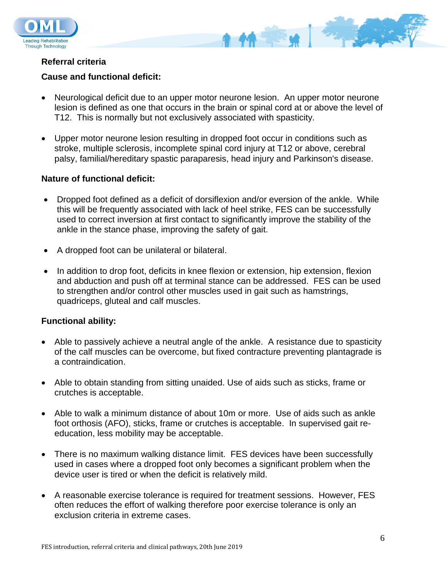

# **Referral criteria**

# **Cause and functional deficit:**

- Neurological deficit due to an upper motor neurone lesion. An upper motor neurone lesion is defined as one that occurs in the brain or spinal cord at or above the level of T12. This is normally but not exclusively associated with spasticity.
- Upper motor neurone lesion resulting in dropped foot occur in conditions such as stroke, multiple sclerosis, incomplete spinal cord injury at T12 or above, cerebral palsy, familial/hereditary spastic paraparesis, head injury and Parkinson's disease.

## **Nature of functional deficit:**

- Dropped foot defined as a deficit of dorsiflexion and/or eversion of the ankle. While this will be frequently associated with lack of heel strike, FES can be successfully used to correct inversion at first contact to significantly improve the stability of the ankle in the stance phase, improving the safety of gait.
- A dropped foot can be unilateral or bilateral.
- In addition to drop foot, deficits in knee flexion or extension, hip extension, flexion and abduction and push off at terminal stance can be addressed. FES can be used to strengthen and/or control other muscles used in gait such as hamstrings, quadriceps, gluteal and calf muscles.

## **Functional ability:**

- Able to passively achieve a neutral angle of the ankle. A resistance due to spasticity of the calf muscles can be overcome, but fixed contracture preventing plantagrade is a contraindication.
- Able to obtain standing from sitting unaided. Use of aids such as sticks, frame or crutches is acceptable.
- Able to walk a minimum distance of about 10m or more. Use of aids such as ankle foot orthosis (AFO), sticks, frame or crutches is acceptable. In supervised gait reeducation, less mobility may be acceptable.
- There is no maximum walking distance limit. FES devices have been successfully used in cases where a dropped foot only becomes a significant problem when the device user is tired or when the deficit is relatively mild.
- A reasonable exercise tolerance is required for treatment sessions. However, FES often reduces the effort of walking therefore poor exercise tolerance is only an exclusion criteria in extreme cases.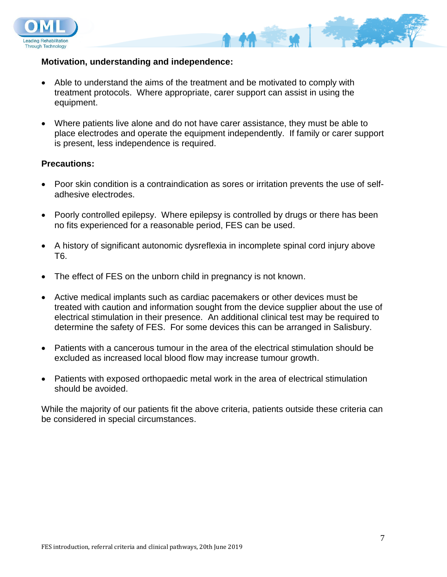



#### **Motivation, understanding and independence:**

- Able to understand the aims of the treatment and be motivated to comply with treatment protocols. Where appropriate, carer support can assist in using the equipment.
- Where patients live alone and do not have carer assistance, they must be able to place electrodes and operate the equipment independently. If family or carer support is present, less independence is required.

### **Precautions:**

- Poor skin condition is a contraindication as sores or irritation prevents the use of selfadhesive electrodes.
- Poorly controlled epilepsy. Where epilepsy is controlled by drugs or there has been no fits experienced for a reasonable period, FES can be used.
- A history of significant autonomic dysreflexia in incomplete spinal cord injury above T6.
- The effect of FES on the unborn child in pregnancy is not known.
- Active medical implants such as cardiac pacemakers or other devices must be treated with caution and information sought from the device supplier about the use of electrical stimulation in their presence. An additional clinical test may be required to determine the safety of FES. For some devices this can be arranged in Salisbury.
- Patients with a cancerous tumour in the area of the electrical stimulation should be excluded as increased local blood flow may increase tumour growth.
- Patients with exposed orthopaedic metal work in the area of electrical stimulation should be avoided.

While the majority of our patients fit the above criteria, patients outside these criteria can be considered in special circumstances.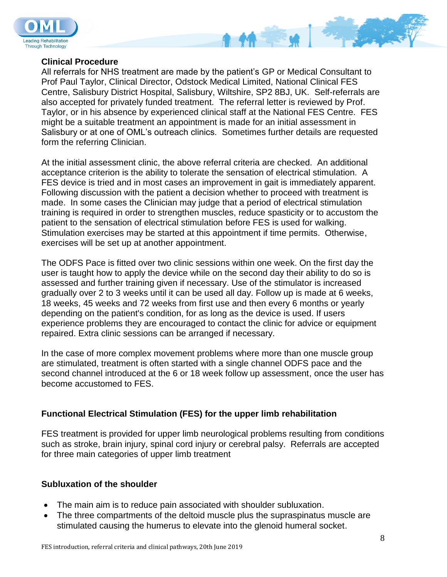



### **Clinical Procedure**

All referrals for NHS treatment are made by the patient's GP or Medical Consultant to Prof Paul Taylor, Clinical Director, Odstock Medical Limited, National Clinical FES Centre, Salisbury District Hospital, Salisbury, Wiltshire, SP2 8BJ, UK. Self-referrals are also accepted for privately funded treatment. The referral letter is reviewed by Prof. Taylor, or in his absence by experienced clinical staff at the National FES Centre. FES might be a suitable treatment an appointment is made for an initial assessment in Salisbury or at one of OML's outreach clinics. Sometimes further details are requested form the referring Clinician.

At the initial assessment clinic, the above referral criteria are checked. An additional acceptance criterion is the ability to tolerate the sensation of electrical stimulation. A FES device is tried and in most cases an improvement in gait is immediately apparent. Following discussion with the patient a decision whether to proceed with treatment is made. In some cases the Clinician may judge that a period of electrical stimulation training is required in order to strengthen muscles, reduce spasticity or to accustom the patient to the sensation of electrical stimulation before FES is used for walking. Stimulation exercises may be started at this appointment if time permits. Otherwise, exercises will be set up at another appointment.

The ODFS Pace is fitted over two clinic sessions within one week. On the first day the user is taught how to apply the device while on the second day their ability to do so is assessed and further training given if necessary. Use of the stimulator is increased gradually over 2 to 3 weeks until it can be used all day. Follow up is made at 6 weeks, 18 weeks, 45 weeks and 72 weeks from first use and then every 6 months or yearly depending on the patient's condition, for as long as the device is used. If users experience problems they are encouraged to contact the clinic for advice or equipment repaired. Extra clinic sessions can be arranged if necessary.

In the case of more complex movement problems where more than one muscle group are stimulated, treatment is often started with a single channel ODFS pace and the second channel introduced at the 6 or 18 week follow up assessment, once the user has become accustomed to FES.

## **Functional Electrical Stimulation (FES) for the upper limb rehabilitation**

FES treatment is provided for upper limb neurological problems resulting from conditions such as stroke, brain injury, spinal cord injury or cerebral palsy. Referrals are accepted for three main categories of upper limb treatment

## **Subluxation of the shoulder**

- The main aim is to reduce pain associated with shoulder subluxation.
- The three compartments of the deltoid muscle plus the supraspinatus muscle are stimulated causing the humerus to elevate into the glenoid humeral socket.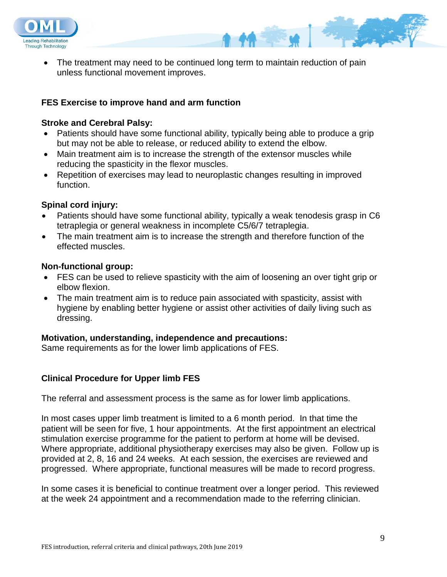



# **FES Exercise to improve hand and arm function**

### **Stroke and Cerebral Palsy:**

- Patients should have some functional ability, typically being able to produce a grip but may not be able to release, or reduced ability to extend the elbow.
- Main treatment aim is to increase the strength of the extensor muscles while reducing the spasticity in the flexor muscles.
- Repetition of exercises may lead to neuroplastic changes resulting in improved function.

### **Spinal cord injury:**

- Patients should have some functional ability, typically a weak tenodesis grasp in C6 tetraplegia or general weakness in incomplete C5/6/7 tetraplegia.
- The main treatment aim is to increase the strength and therefore function of the effected muscles.

#### **Non-functional group:**

- FES can be used to relieve spasticity with the aim of loosening an over tight grip or elbow flexion.
- The main treatment aim is to reduce pain associated with spasticity, assist with hygiene by enabling better hygiene or assist other activities of daily living such as dressing.

## **Motivation, understanding, independence and precautions:**

Same requirements as for the lower limb applications of FES.

## **Clinical Procedure for Upper limb FES**

The referral and assessment process is the same as for lower limb applications.

In most cases upper limb treatment is limited to a 6 month period. In that time the patient will be seen for five, 1 hour appointments. At the first appointment an electrical stimulation exercise programme for the patient to perform at home will be devised. Where appropriate, additional physiotherapy exercises may also be given. Follow up is provided at 2, 8, 16 and 24 weeks. At each session, the exercises are reviewed and progressed. Where appropriate, functional measures will be made to record progress.

In some cases it is beneficial to continue treatment over a longer period. This reviewed at the week 24 appointment and a recommendation made to the referring clinician.